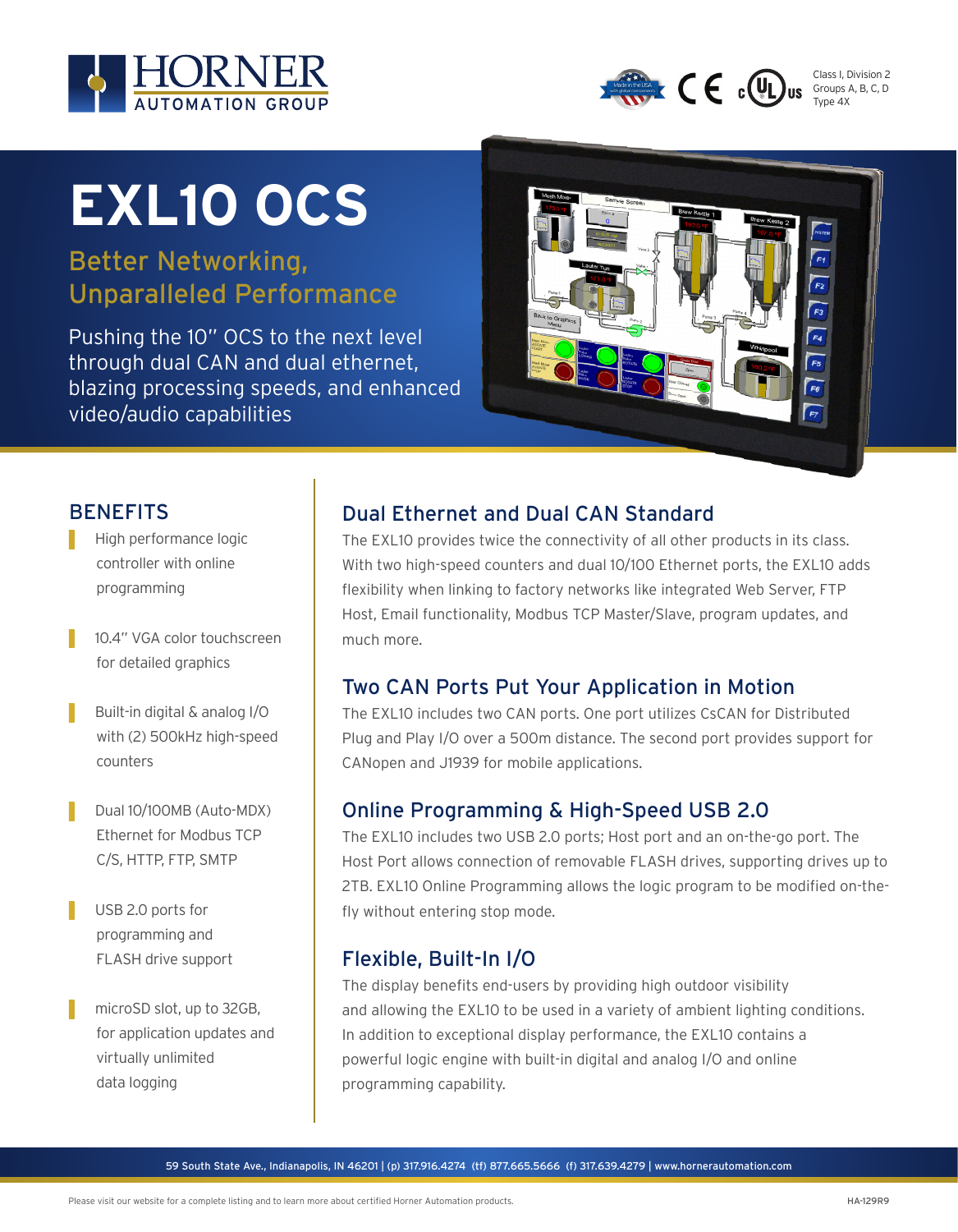



Class I, Division 2 Groups A, B, C, D Type 4X

# **EXL10 OCS**

Better Networking, Unparalleled Performance

Pushing the 10" OCS to the next level through dual CAN and dual ethernet, blazing processing speeds, and enhanced video/audio capabilities



#### **BENEFITS**

- High performance logic controller with online programming
- 10.4" VGA color touchscreen for detailed graphics
- ▌ Built-in digital & analog I/O with (2) 500kHz high-speed counters
- **Dual 10/100MB (Auto-MDX)** Ethernet for Modbus TCP C/S, HTTP, FTP, SMTP
- USB 2.0 ports for programming and FLASH drive support
- microSD slot, up to 32GB, for application updates and virtually unlimited data logging

#### Dual Ethernet and Dual CAN Standard

The EXL10 provides twice the connectivity of all other products in its class. With two high-speed counters and dual 10/100 Ethernet ports, the EXL10 adds flexibility when linking to factory networks like integrated Web Server, FTP Host, Email functionality, Modbus TCP Master/Slave, program updates, and much more.

### Two CAN Ports Put Your Application in Motion

The EXL10 includes two CAN ports. One port utilizes CsCAN for Distributed Plug and Play I/O over a 500m distance. The second port provides support for CANopen and J1939 for mobile applications.

### Online Programming & High-Speed USB 2.0

The EXL10 includes two USB 2.0 ports; Host port and an on-the-go port. The Host Port allows connection of removable FLASH drives, supporting drives up to 2TB. EXL10 Online Programming allows the logic program to be modified on-thefly without entering stop mode.

### Flexible, Built-In I/O

The display benefits end-users by providing high outdoor visibility and allowing the EXL10 to be used in a variety of ambient lighting conditions. In addition to exceptional display performance, the EXL10 contains a powerful logic engine with built-in digital and analog I/O and online programming capability.